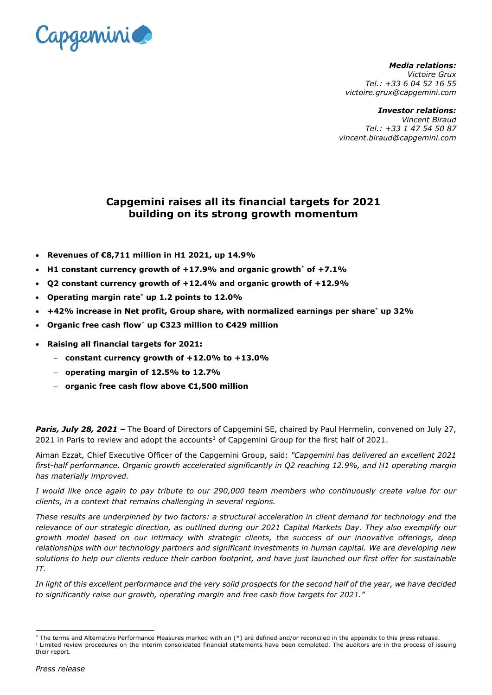

*Media relations: Victoire Grux Tel.: +33 6 04 52 16 55 victoire.grux@capgemini.com*

#### *Investor relations:*

*Vincent Biraud Tel.: +33 1 47 54 50 87 vincent.biraud@capgemini.com*

# **Capgemini raises all its financial targets for 2021 building on its strong growth momentum**

- **Revenues of €8,711 million in H1 2021, up 14.9%**
- **H1 constant currency growth of +17.9% and organic growt[h](#page-0-0)**\* **of +7.1%**
- **Q2 constant currency growth of +12.4% and organic growth of +12.9%**
- **Operating margin rate**[\\*](#page-0-0) **up 1.2 points to 12.0%**
- **+42% increase in Net profit, Group share, with normalized earnings per share**[\\*](#page-0-0) **up 32%**
- <span id="page-0-0"></span>• **Organic free cash flow**[\\*](#page-0-1) **up €323 million to €429 million**
- **Raising all financial targets for 2021:**
	- − **constant currency growth of +12.0% to +13.0%**
	- − **operating margin of 12.5% to 12.7%**
	- − **organic free cash flow above €1,500 million**

*Paris, July 28, 2021 –* The Board of Directors of Capgemini SE, chaired by Paul Hermelin, convened on July 27, 202[1](#page-0-2) in Paris to review and adopt the accounts<sup>1</sup> of Capgemini Group for the first half of 2021.

Aiman Ezzat, Chief Executive Officer of the Capgemini Group, said: *"Capgemini has delivered an excellent 2021 first-half performance. Organic growth accelerated significantly in Q2 reaching 12.9%, and H1 operating margin has materially improved.* 

*I would like once again to pay tribute to our 290,000 team members who continuously create value for our clients, in a context that remains challenging in several regions.*

*These results are underpinned by two factors: a structural acceleration in client demand for technology and the relevance of our strategic direction, as outlined during our 2021 Capital Markets Day. They also exemplify our growth model based on our intimacy with strategic clients, the success of our innovative offerings, deep relationships with our technology partners and significant investments in human capital. We are developing new solutions to help our clients reduce their carbon footprint, and have just launched our first offer for sustainable IT.*

*In light of this excellent performance and the very solid prospects for the second half of the year, we have decided to significantly raise our growth, operating margin and free cash flow targets for 2021."*

<sup>\*</sup> The terms and Alternative Performance Measures marked with an (\*) are defined and/or reconciled in the appendix to this press release.

<span id="page-0-2"></span><span id="page-0-1"></span><sup>&</sup>lt;sup>1</sup> Limited review procedures on the interim consolidated financial statements have been completed. The auditors are in the process of issuing their report.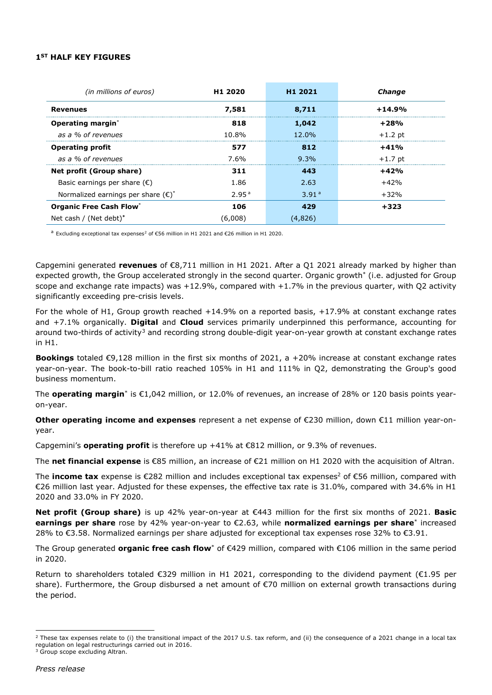## **1ST HALF KEY FIGURES**

| (in millions of euros)                       | H <sub>1</sub> 2020 | H <sub>1</sub> 2021 | Change    |
|----------------------------------------------|---------------------|---------------------|-----------|
| <b>Revenues</b>                              | 7,581               | 8,711               | $+14.9%$  |
| Operating margin <sup>*</sup>                | 818                 | 1,042               | $+28%$    |
| as a % of revenues                           | 10.8%               | $12.0\%$            | $+1.2$ pt |
| <b>Operating profit</b>                      | 577                 | 812                 | $+41%$    |
| as a % of revenues                           | 7.6%                | $9.3\%$             | $+1.7$ pt |
| Net profit (Group share)                     | 311                 | 443                 | $+42%$    |
| Basic earnings per share $(\epsilon)$        | 1.86                | 2.63                | $+42%$    |
| Normalized earnings per share $(\epsilon)^*$ | 2.95 <sup>a</sup>   | 3.91 <sup>a</sup>   | $+32%$    |
| <b>Organic Free Cash Flow*</b>               | 106                 | 479                 | +323      |
| Net cash / (Net debt)*                       | (6,008)             | (4,826)             |           |

<span id="page-1-0"></span><sup>a</sup> Excluding exceptional tax expenses<sup>[2](#page-1-1)</sup> of €56 million in H1 2021 and €26 million in H1 2020.

Capgemini generated **revenues** of €8,711 million in H1 2021. After a Q1 2021 already marked by higher than expected growth, the Group accelerated strongly in the second quarter. Organic growt[h\\*](#page-0-0) (i.e. adjusted for Group scope and exchange rate impacts) was  $+12.9\%$ , compared with  $+1.7\%$  in the previous quarter, with Q2 activity significantly exceeding pre-crisis levels.

For the whole of H1, Group growth reached +14.9% on a reported basis, +17.9% at constant exchange rates and +7.1% organically. **Digital** and **Cloud** services primarily underpinned this performance, accounting for around two-thirds of activity<sup>[3](#page-1-2)</sup> and recording strong double-digit year-on-year growth at constant exchange rates in H1.

**Bookings** totaled €9,128 million in the first six months of 2021, a +20% increase at constant exchange rates year-on-year. The book-to-bill ratio reached 105% in H1 and 111% in Q2, demonstrating the Group's good business momentum.

The **operating margin**[\\*](#page-0-0) is €1,042 million, or 12.0% of revenues, an increase of 28% or 120 basis points yearon-year.

**Other operating income and expenses** represent a net expense of €230 million, down €11 million year-onyear.

Capgemini's **operating profit** is therefore up +41% at €812 million, or 9.3% of revenues.

The **net financial expense** is €85 million, an increase of €21 million on H1 2020 with the acquisition of Altran.

The **income tax** expense is  $\epsilon$ 282 million and includes exceptional tax expenses<sup>2</sup> of  $\epsilon$ 56 million, compared with €26 million last year. Adjusted for these expenses, the effective tax rate is 31.0%, compared with 34.6% in H1 2020 and 33.0% in FY 2020.

**Net profit (Group share)** is up 42% year-on-year at €443 million for the first six months of 2021. **Basic earnings per share** rose by 42% year-on-year to €2.63, while **normalized earnings per share**[\\*](#page-0-0) increased 28% to €3.58. Normalized earnings per share adjusted for exceptional tax expenses rose 32% to €3.91.

The Group generated **organic free cash flo[w](#page-0-0)**\* of €429 million, compared with €106 million in the same period in 2020.

Return to shareholders totaled €329 million in H1 2021, corresponding to the dividend payment (€1.95 per share). Furthermore, the Group disbursed a net amount of €70 million on external growth transactions during the period.

<span id="page-1-2"></span><span id="page-1-1"></span><sup>&</sup>lt;sup>2</sup> These tax expenses relate to (i) the transitional impact of the 2017 U.S. tax reform, and (ii) the consequence of a 2021 change in a local tax regulation on legal restructurings carried out in 2016. <sup>3</sup> Group scope excluding Altran.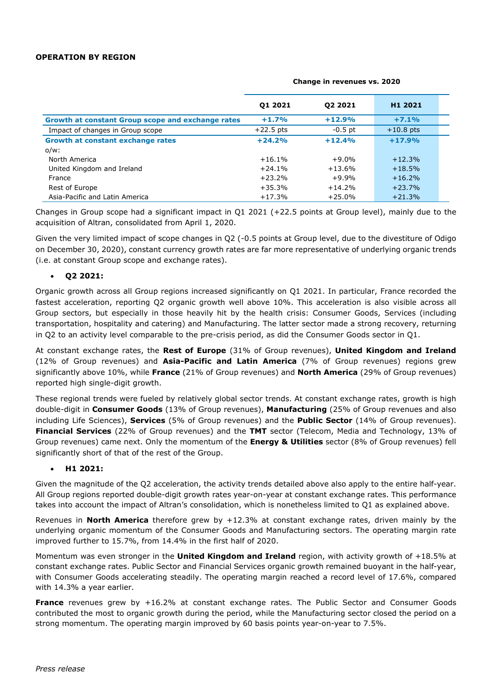## **OPERATION BY REGION**

|                                                   | 01 2021     | 02 2021   | H1 2021     |  |
|---------------------------------------------------|-------------|-----------|-------------|--|
| Growth at constant Group scope and exchange rates | $+1.7%$     | $+12.9%$  | $+7.1%$     |  |
| Impact of changes in Group scope                  | $+22.5$ pts | $-0.5$ pt | $+10.8$ pts |  |
| Growth at constant exchange rates                 | $+24.2%$    | $+12.4%$  | $+17.9%$    |  |
| $o/w$ :                                           |             |           |             |  |
| North America                                     | $+16.1%$    | $+9.0%$   | $+12.3%$    |  |
| United Kingdom and Ireland                        | $+24.1%$    | $+13.6%$  | $+18.5%$    |  |
| France                                            | $+23.2%$    | $+9.9%$   | $+16.2%$    |  |
| Rest of Europe                                    | $+35.3%$    | $+14.2%$  | $+23.7%$    |  |
| Asia-Pacific and Latin America                    | $+17.3%$    | $+25.0%$  | $+21.3%$    |  |

#### **Change in revenues vs. 2020**

Changes in Group scope had a significant impact in Q1 2021 (+22.5 points at Group level), mainly due to the acquisition of Altran, consolidated from April 1, 2020.

Given the very limited impact of scope changes in Q2 (-0.5 points at Group level, due to the divestiture of Odigo on December 30, 2020), constant currency growth rates are far more representative of underlying organic trends (i.e. at constant Group scope and exchange rates).

## • **Q2 2021:**

Organic growth across all Group regions increased significantly on Q1 2021. In particular, France recorded the fastest acceleration, reporting Q2 organic growth well above 10%. This acceleration is also visible across all Group sectors, but especially in those heavily hit by the health crisis: Consumer Goods, Services (including transportation, hospitality and catering) and Manufacturing. The latter sector made a strong recovery, returning in Q2 to an activity level comparable to the pre-crisis period, as did the Consumer Goods sector in Q1.

At constant exchange rates, the **Rest of Europe** (31% of Group revenues), **United Kingdom and Ireland** (12% of Group revenues) and **Asia-Pacific and Latin America** (7% of Group revenues) regions grew significantly above 10%, while **France** (21% of Group revenues) and **North America** (29% of Group revenues) reported high single-digit growth.

These regional trends were fueled by relatively global sector trends. At constant exchange rates, growth is high double-digit in **Consumer Goods** (13% of Group revenues), **Manufacturing** (25% of Group revenues and also including Life Sciences), **Services** (5% of Group revenues) and the **Public Sector** (14% of Group revenues). **Financial Services** (22% of Group revenues) and the **TMT** sector (Telecom, Media and Technology, 13% of Group revenues) came next. Only the momentum of the **Energy & Utilities** sector (8% of Group revenues) fell significantly short of that of the rest of the Group.

## • **H1 2021:**

Given the magnitude of the Q2 acceleration, the activity trends detailed above also apply to the entire half-year. All Group regions reported double-digit growth rates year-on-year at constant exchange rates. This performance takes into account the impact of Altran's consolidation, which is nonetheless limited to Q1 as explained above.

Revenues in **North America** therefore grew by +12.3% at constant exchange rates, driven mainly by the underlying organic momentum of the Consumer Goods and Manufacturing sectors. The operating margin rate improved further to 15.7%, from 14.4% in the first half of 2020.

Momentum was even stronger in the **United Kingdom and Ireland** region, with activity growth of +18.5% at constant exchange rates. Public Sector and Financial Services organic growth remained buoyant in the half-year, with Consumer Goods accelerating steadily. The operating margin reached a record level of 17.6%, compared with 14.3% a year earlier.

**France** revenues grew by +16.2% at constant exchange rates. The Public Sector and Consumer Goods contributed the most to organic growth during the period, while the Manufacturing sector closed the period on a strong momentum. The operating margin improved by 60 basis points year-on-year to 7.5%.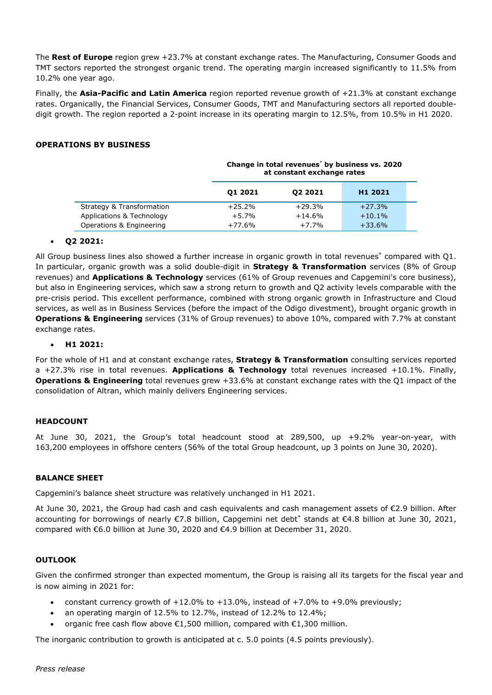The **Rest of Europe** region grew +23.7% at constant exchange rates. The Manufacturing, Consumer Goods and TMT sectors reported the strongest organic trend. The operating margin increased significantly to 11.5% from 10.2% one year ago.

Finally, the **Asia-Pacific and Latin America** region reported revenue growth of +21.3% at constant exchange rates. Organically, the Financial Services, Consumer Goods, TMT and Manufacturing sectors all reported doubledigit growth. The region reported a 2-point increase in its operating margin to 12.5%, from 10.5% in H1 2020.

## **OPERATIONS BY BUSINESS**

|                           | Change in total revenues <sup>*</sup> by business vs. 2020<br>at constant exchange rates |          |                     |  |
|---------------------------|------------------------------------------------------------------------------------------|----------|---------------------|--|
|                           | 01 2021                                                                                  | 02 2021  | H <sub>1</sub> 2021 |  |
| Strategy & Transformation | $+25.2%$                                                                                 | $+29.3%$ | $+27.3%$            |  |
| Applications & Technology | $+5.7%$                                                                                  | $+14.6%$ | $+10.1%$            |  |
| Operations & Engineering  | $+77.6%$                                                                                 | $+7.7%$  | $+33.6%$            |  |

## • **Q2 2021:**

All Group business lines also showed a further increase in organic growth in total revenue[s\\*](#page-0-0) compared with Q1. In particular, organic growth was a solid double-digit in **Strategy & Transformation** services (8% of Group revenues) and **Applications & Technology** services (61% of Group revenues and Capgemini's core business), but also in Engineering services, which saw a strong return to growth and Q2 activity levels comparable with the pre-crisis period. This excellent performance, combined with strong organic growth in Infrastructure and Cloud services, as well as in Business Services (before the impact of the Odigo divestment), brought organic growth in **Operations & Engineering** services (31% of Group revenues) to above 10%, compared with 7.7% at constant exchange rates.

#### • **H1 2021:**

For the whole of H1 and at constant exchange rates, **Strategy & Transformation** consulting services reported a +27.3% rise in total revenues. **Applications & Technology** total revenues increased +10.1%. Finally, **Operations & Engineering** total revenues grew +33.6% at constant exchange rates with the Q1 impact of the consolidation of Altran, which mainly delivers Engineering services.

## **HEADCOUNT**

At June 30, 2021, the Group's total headcount stood at 289,500, up +9.2% year-on-year, with 163,200 employees in offshore centers (56% of the total Group headcount, up 3 points on June 30, 2020).

## **BALANCE SHEET**

Capgemini's balance sheet structure was relatively unchanged in H1 2021.

At June 30, 2021, the Group had cash and cash equivalents and cash management assets of €2.9 billion. After accounting for borrowings of nearly €7.8 billion, Capgemini net deb[t\\*](#page-0-0) stands at €4.8 billion at June 30, 2021, compared with €6.0 billion at June 30, 2020 and €4.9 billion at December 31, 2020.

## **OUTLOOK**

Given the confirmed stronger than expected momentum, the Group is raising all its targets for the fiscal year and is now aiming in 2021 for:

- constant currency growth of  $+12.0\%$  to  $+13.0\%$ , instead of  $+7.0\%$  to  $+9.0\%$  previously;
- an operating margin of 12.5% to 12.7%, instead of 12.2% to 12.4%;
- organic free cash flow above €1,500 million, compared with €1,300 million.

The inorganic contribution to growth is anticipated at c. 5.0 points (4.5 points previously).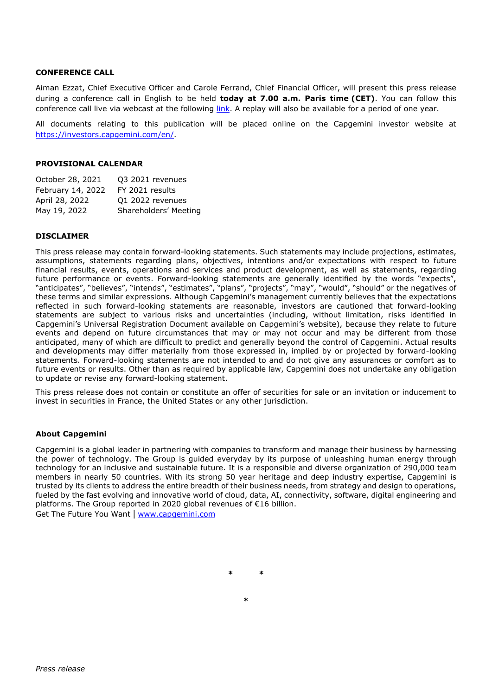## **CONFERENCE CALL**

Aiman Ezzat, Chief Executive Officer and Carole Ferrand, Chief Financial Officer, will present this press release during a conference call in English to be held **today at 7.00 a.m. Paris time (CET)**. You can follow this conference call live via webcast at the following [link.](https://edge.media-server.com/mmc/p/xycqt6qg) A replay will also be available for a period of one year.

All documents relating to this publication will be placed online on the Capgemini investor website at [https://investors.capgemini.com/en/.](https://investors.capgemini.com/en/)

#### **PROVISIONAL CALENDAR**

| October 28, 2021  | Q3 2021 revenues      |
|-------------------|-----------------------|
| February 14, 2022 | FY 2021 results       |
| April 28, 2022    | Q1 2022 revenues      |
| May 19, 2022      | Shareholders' Meeting |

## **DISCLAIMER**

This press release may contain forward-looking statements. Such statements may include projections, estimates, assumptions, statements regarding plans, objectives, intentions and/or expectations with respect to future financial results, events, operations and services and product development, as well as statements, regarding future performance or events. Forward-looking statements are generally identified by the words "expects", "anticipates", "believes", "intends", "estimates", "plans", "projects", "may", "would", "should" or the negatives of these terms and similar expressions. Although Capgemini's management currently believes that the expectations reflected in such forward-looking statements are reasonable, investors are cautioned that forward-looking statements are subject to various risks and uncertainties (including, without limitation, risks identified in Capgemini's Universal Registration Document available on Capgemini's website), because they relate to future events and depend on future circumstances that may or may not occur and may be different from those anticipated, many of which are difficult to predict and generally beyond the control of Capgemini. Actual results and developments may differ materially from those expressed in, implied by or projected by forward-looking statements. Forward-looking statements are not intended to and do not give any assurances or comfort as to future events or results. Other than as required by applicable law, Capgemini does not undertake any obligation to update or revise any forward-looking statement.

This press release does not contain or constitute an offer of securities for sale or an invitation or inducement to invest in securities in France, the United States or any other jurisdiction.

## **About Capgemini**

Capgemini is a global leader in partnering with companies to transform and manage their business by harnessing the power of technology. The Group is guided everyday by its purpose of unleashing human energy through technology for an inclusive and sustainable future. It is a responsible and diverse organization of 290,000 team members in nearly 50 countries. With its strong 50 year heritage and deep industry expertise, Capgemini is trusted by its clients to address the entire breadth of their business needs, from strategy and design to operations, fueled by the fast evolving and innovative world of cloud, data, AI, connectivity, software, digital engineering and platforms. The Group reported in 2020 global revenues of €16 billion.

Get The Future You Want | [www.capgemini.com](http://www.capgemini.com/#_blank)

**\* \***

**\***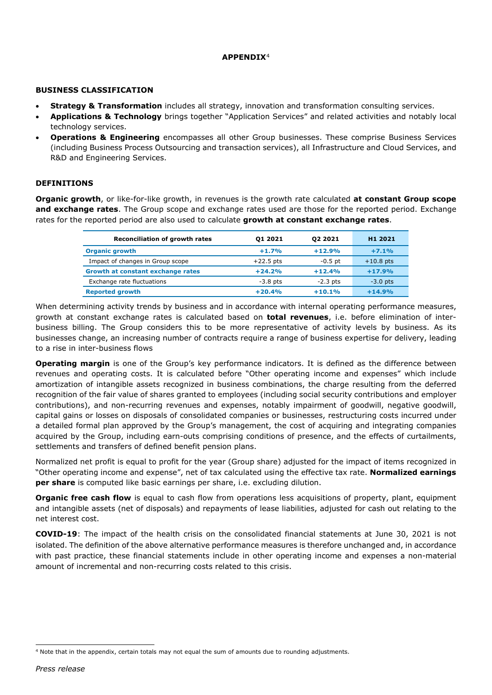## **APPENDIX**[4](#page-5-0)

## **BUSINESS CLASSIFICATION**

- **Strategy & Transformation** includes all strategy, innovation and transformation consulting services.
- **Applications & Technology** brings together "Application Services" and related activities and notably local technology services.
- **Operations & Engineering** encompasses all other Group businesses. These comprise Business Services (including Business Process Outsourcing and transaction services), all Infrastructure and Cloud Services, and R&D and Engineering Services.

## **DEFINITIONS**

**Organic growth**, or like-for-like growth, in revenues is the growth rate calculated **at constant Group scope and exchange rates**. The Group scope and exchange rates used are those for the reported period. Exchange rates for the reported period are also used to calculate **growth at constant exchange rates**.

| <b>Reconciliation of growth rates</b> | 01 2021     | <b>Q2 2021</b> | H <sub>1</sub> 2021 |
|---------------------------------------|-------------|----------------|---------------------|
| <b>Organic growth</b>                 | $+1.7%$     | $+12.9%$       | $+7.1%$             |
| Impact of changes in Group scope      | $+22.5$ pts | $-0.5$ pt      | $+10.8$ pts         |
| Growth at constant exchange rates     | $+24.2%$    | $+12.4%$       | $+17.9%$            |
| Exchange rate fluctuations            | $-3.8$ pts  | $-2.3$ pts     | $-3.0$ pts          |
| <b>Reported growth</b>                | $+20.4%$    | $+10.1%$       | $+14.9%$            |

When determining activity trends by business and in accordance with internal operating performance measures, growth at constant exchange rates is calculated based on **total revenues**, i.e. before elimination of interbusiness billing. The Group considers this to be more representative of activity levels by business. As its businesses change, an increasing number of contracts require a range of business expertise for delivery, leading to a rise in inter-business flows

**Operating margin** is one of the Group's key performance indicators. It is defined as the difference between revenues and operating costs. It is calculated before "Other operating income and expenses" which include amortization of intangible assets recognized in business combinations, the charge resulting from the deferred recognition of the fair value of shares granted to employees (including social security contributions and employer contributions), and non-recurring revenues and expenses, notably impairment of goodwill, negative goodwill, capital gains or losses on disposals of consolidated companies or businesses, restructuring costs incurred under a detailed formal plan approved by the Group's management, the cost of acquiring and integrating companies acquired by the Group, including earn-outs comprising conditions of presence, and the effects of curtailments, settlements and transfers of defined benefit pension plans.

Normalized net profit is equal to profit for the year (Group share) adjusted for the impact of items recognized in "Other operating income and expense", net of tax calculated using the effective tax rate. **Normalized earnings per share** is computed like basic earnings per share, i.e. excluding dilution.

**Organic free cash flow** is equal to cash flow from operations less acquisitions of property, plant, equipment and intangible assets (net of disposals) and repayments of lease liabilities, adjusted for cash out relating to the net interest cost.

**COVID-19**: The impact of the health crisis on the consolidated financial statements at June 30, 2021 is not isolated. The definition of the above alternative performance measures is therefore unchanged and, in accordance with past practice, these financial statements include in other operating income and expenses a non-material amount of incremental and non-recurring costs related to this crisis.

<span id="page-5-0"></span><sup>4</sup> Note that in the appendix, certain totals may not equal the sum of amounts due to rounding adjustments.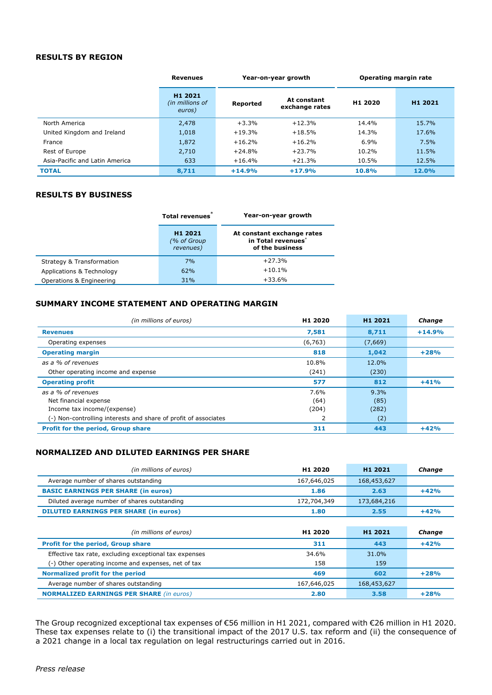## **RESULTS BY REGION**

|                                | <b>Revenues</b>                                  | Year-on-year growth |                               | Operating margin rate |                     |
|--------------------------------|--------------------------------------------------|---------------------|-------------------------------|-----------------------|---------------------|
|                                | H <sub>1</sub> 2021<br>(in millions of<br>euros) | Reported            | At constant<br>exchange rates | H <sub>1</sub> 2020   | H <sub>1</sub> 2021 |
| North America                  | 2,478                                            | $+3.3%$             | $+12.3%$                      | 14.4%                 | 15.7%               |
| United Kingdom and Ireland     | 1,018                                            | $+19.3%$            | $+18.5%$                      | 14.3%                 | 17.6%               |
| France                         | 1,872                                            | $+16.2%$            | $+16.2%$                      | 6.9%                  | 7.5%                |
| Rest of Europe                 | 2,710                                            | $+24.8%$            | $+23.7%$                      | 10.2%                 | 11.5%               |
| Asia-Pacific and Latin America | 633                                              | $+16.4%$            | $+21.3%$                      | 10.5%                 | 12.5%               |
| <b>TOTAL</b>                   | 8,711                                            | $+14.9%$            | $+17.9%$                      | 10.8%                 | 12.0%               |

## **RESULTS BY BUSINESS**

|                           | Total revenues                                  | Year-on-year growth                                                             |
|---------------------------|-------------------------------------------------|---------------------------------------------------------------------------------|
|                           | H <sub>1</sub> 2021<br>(% of Group<br>revenues) | At constant exchange rates<br>in Total revenues <sup>*</sup><br>of the business |
| Strategy & Transformation | 7%                                              | $+27.3%$                                                                        |
| Applications & Technology | 62%                                             | $+10.1%$                                                                        |
| Operations & Engineering  | 31%                                             | $+33.6%$                                                                        |

## **SUMMARY INCOME STATEMENT AND OPERATING MARGIN**

| (in millions of euros)                                          | H <sub>1</sub> 2020 | H <sub>1</sub> 2021 | Change   |
|-----------------------------------------------------------------|---------------------|---------------------|----------|
| <b>Revenues</b>                                                 | 7,581               | 8,711               | $+14.9%$ |
| Operating expenses                                              | (6, 763)            | (7,669)             |          |
| <b>Operating margin</b>                                         | 818                 | 1,042               | $+28%$   |
| as a % of revenues                                              | 10.8%               | 12.0%               |          |
| Other operating income and expense                              | (241)               | (230)               |          |
| <b>Operating profit</b>                                         | 577                 | 812                 | $+41%$   |
| as a % of revenues                                              | 7.6%                | 9.3%                |          |
| Net financial expense                                           | (64)                | (85)                |          |
| Income tax income/(expense)                                     | (204)               | (282)               |          |
| (-) Non-controlling interests and share of profit of associates | 2                   | (2)                 |          |
| <b>Profit for the period, Group share</b>                       | 311                 | 443                 | $+42%$   |

## **NORMALIZED AND DILUTED EARNINGS PER SHARE**

| (in millions of euros)                                 | H <sub>1</sub> 2020 | H <sub>1</sub> 2021 | Change |
|--------------------------------------------------------|---------------------|---------------------|--------|
| Average number of shares outstanding                   | 167,646,025         | 168,453,627         |        |
| <b>BASIC EARNINGS PER SHARE (in euros)</b>             | 1.86                | 2.63                | $+42%$ |
| Diluted average number of shares outstanding           | 172,704,349         | 173,684,216         |        |
| <b>DILUTED EARNINGS PER SHARE (in euros)</b>           | 1.80                | 2.55                | $+42%$ |
|                                                        |                     |                     |        |
| (in millions of euros)                                 | H <sub>1</sub> 2020 | H <sub>1</sub> 2021 | Change |
| <b>Profit for the period, Group share</b>              | 311                 | 443                 | $+42%$ |
| Effective tax rate, excluding exceptional tax expenses | 34.6%               | 31.0%               |        |
| (-) Other operating income and expenses, net of tax    | 158                 | 159                 |        |
| Normalized profit for the period                       | 469                 | 602                 | $+28%$ |
| Average number of shares outstanding                   | 167,646,025         | 168,453,627         |        |
| <b>NORMALIZED EARNINGS PER SHARE (in euros)</b>        | 2.80                | 3.58                | $+28%$ |

The Group recognized exceptional tax expenses of €56 million in H1 2021, compared with €26 million in H1 2020. These tax expenses relate to (i) the transitional impact of the 2017 U.S. tax reform and (ii) the consequence of a 2021 change in a local tax regulation on legal restructurings carried out in 2016.